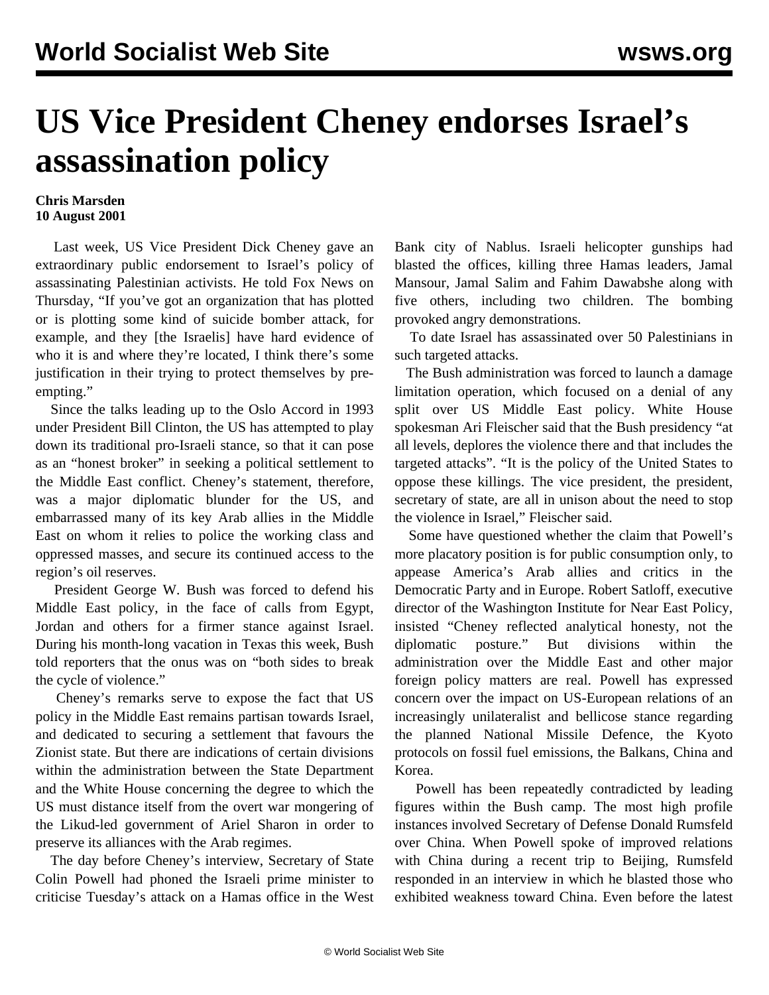## **US Vice President Cheney endorses Israel's assassination policy**

## **Chris Marsden 10 August 2001**

 Last week, US Vice President Dick Cheney gave an extraordinary public endorsement to Israel's policy of assassinating Palestinian activists. He told Fox News on Thursday, "If you've got an organization that has plotted or is plotting some kind of suicide bomber attack, for example, and they [the Israelis] have hard evidence of who it is and where they're located, I think there's some justification in their trying to protect themselves by preempting."

 Since the talks leading up to the Oslo Accord in 1993 under President Bill Clinton, the US has attempted to play down its traditional pro-Israeli stance, so that it can pose as an "honest broker" in seeking a political settlement to the Middle East conflict. Cheney's statement, therefore, was a major diplomatic blunder for the US, and embarrassed many of its key Arab allies in the Middle East on whom it relies to police the working class and oppressed masses, and secure its continued access to the region's oil reserves.

 President George W. Bush was forced to defend his Middle East policy, in the face of calls from Egypt, Jordan and others for a firmer stance against Israel. During his month-long vacation in Texas this week, Bush told reporters that the onus was on "both sides to break the cycle of violence."

 Cheney's remarks serve to expose the fact that US policy in the Middle East remains partisan towards Israel, and dedicated to securing a settlement that favours the Zionist state. But there are indications of certain divisions within the administration between the State Department and the White House concerning the degree to which the US must distance itself from the overt war mongering of the Likud-led government of Ariel Sharon in order to preserve its alliances with the Arab regimes.

 The day before Cheney's interview, Secretary of State Colin Powell had phoned the Israeli prime minister to criticise Tuesday's attack on a Hamas office in the West Bank city of Nablus. Israeli helicopter gunships had blasted the offices, killing three Hamas leaders, Jamal Mansour, Jamal Salim and Fahim Dawabshe along with five others, including two children. The bombing provoked angry demonstrations.

 To date Israel has assassinated over 50 Palestinians in such targeted attacks.

 The Bush administration was forced to launch a damage limitation operation, which focused on a denial of any split over US Middle East policy. White House spokesman Ari Fleischer said that the Bush presidency "at all levels, deplores the violence there and that includes the targeted attacks". "It is the policy of the United States to oppose these killings. The vice president, the president, secretary of state, are all in unison about the need to stop the violence in Israel," Fleischer said.

 Some have questioned whether the claim that Powell's more placatory position is for public consumption only, to appease America's Arab allies and critics in the Democratic Party and in Europe. Robert Satloff, executive director of the Washington Institute for Near East Policy, insisted "Cheney reflected analytical honesty, not the diplomatic posture." But divisions within the administration over the Middle East and other major foreign policy matters are real. Powell has expressed concern over the impact on US-European relations of an increasingly unilateralist and bellicose stance regarding the planned National Missile Defence, the Kyoto protocols on fossil fuel emissions, the Balkans, China and Korea.

 Powell has been repeatedly contradicted by leading figures within the Bush camp. The most high profile instances involved Secretary of Defense Donald Rumsfeld over China. When Powell spoke of improved relations with China during a recent trip to Beijing, Rumsfeld responded in an interview in which he blasted those who exhibited weakness toward China. Even before the latest